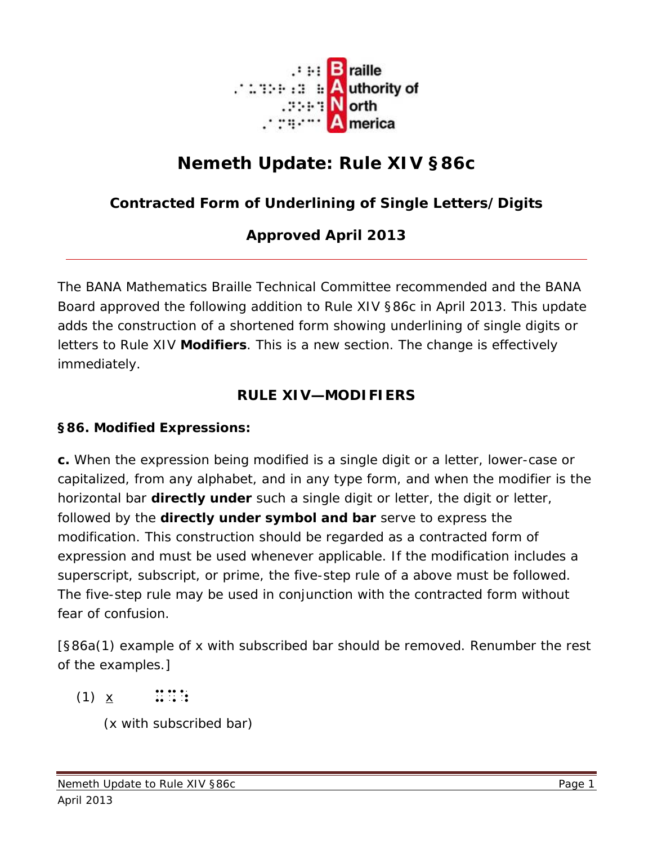

# **Nemeth Update: Rule XIV §86c**

## **Contracted Form of Underlining of Single Letters/Digits**

## **Approved April 2013**

The BANA Mathematics Braille Technical Committee recommended and the BANA Board approved the following addition to Rule XIV §86c in April 2013. This update adds the construction of a shortened form showing underlining of single digits or letters to Rule XIV **Modifiers**. This is a new section. The change is effectively immediately.

## **RULE XIV—MODIFIERS**

#### **§86. Modified Expressions:**

**c.** When the expression being modified is a single digit or a letter, lower-case or capitalized, from any alphabet, and in any type form, and when the modifier is the horizontal bar **directly under** such a single digit or letter, the digit or letter, followed by the **directly under symbol and bar** serve to express the modification. This construction should be regarded as a contracted form of expression and must be used whenever applicable. If the modification includes a superscript, subscript, or prime, the five-step rule of a above must be followed. The five-step rule may be used in conjunction with the contracted form without fear of confusion.

[§86a(1) example of x with subscribed bar should be removed. Renumber the rest of the examples.]

 $(1) \times \dots$ :::::

(x with subscribed bar)